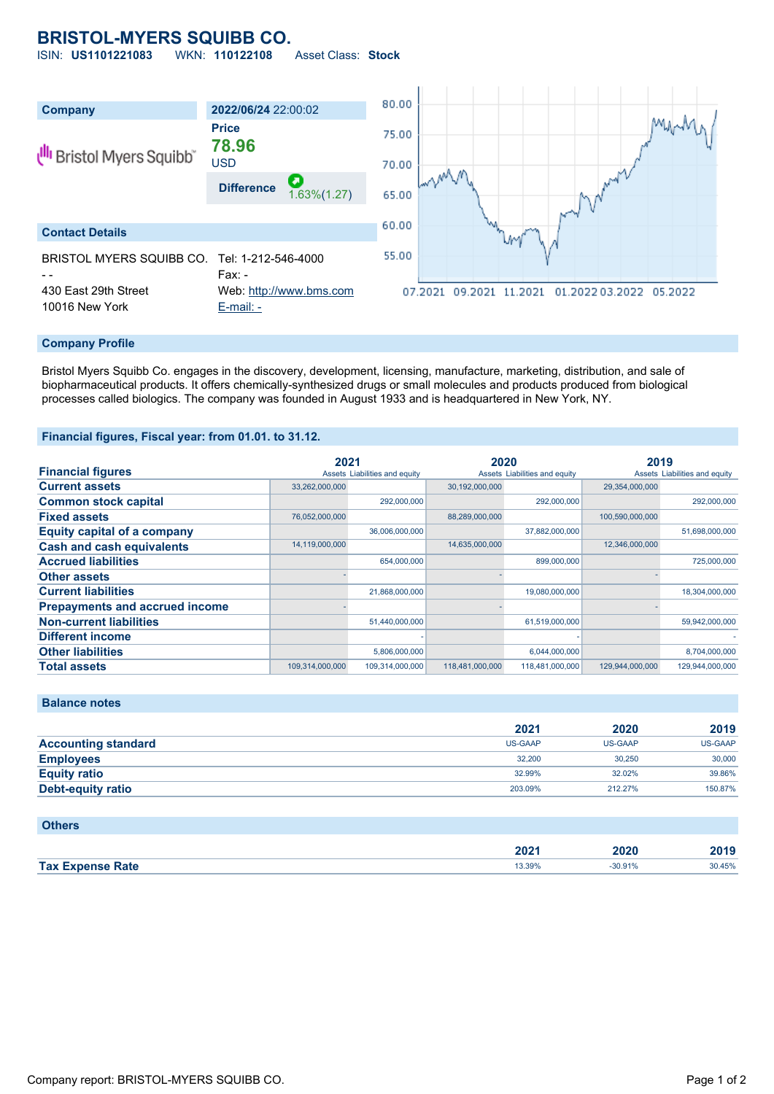# **BRISTOL-MYERS SQUIBB CO.**

ISIN: **US1101221083** WKN: **110122108** Asset Class: **Stock**



### **Company Profile**

Bristol Myers Squibb Co. engages in the discovery, development, licensing, manufacture, marketing, distribution, and sale of biopharmaceutical products. It offers chemically-synthesized drugs or small molecules and products produced from biological processes called biologics. The company was founded in August 1933 and is headquartered in New York, NY.

#### **Financial figures, Fiscal year: from 01.01. to 31.12.**

|                                       | 2021            |                               | 2020            |                               | 2019            |                               |
|---------------------------------------|-----------------|-------------------------------|-----------------|-------------------------------|-----------------|-------------------------------|
| <b>Financial figures</b>              |                 | Assets Liabilities and equity |                 | Assets Liabilities and equity |                 | Assets Liabilities and equity |
| <b>Current assets</b>                 | 33,262,000,000  |                               | 30,192,000,000  |                               | 29,354,000,000  |                               |
| <b>Common stock capital</b>           |                 | 292,000,000                   |                 | 292,000,000                   |                 | 292,000,000                   |
| <b>Fixed assets</b>                   | 76,052,000,000  |                               | 88,289,000,000  |                               | 100,590,000,000 |                               |
| Equity capital of a company           |                 | 36,006,000,000                |                 | 37,882,000,000                |                 | 51,698,000,000                |
| <b>Cash and cash equivalents</b>      | 14,119,000,000  |                               | 14,635,000,000  |                               | 12,346,000,000  |                               |
| <b>Accrued liabilities</b>            |                 | 654,000,000                   |                 | 899,000,000                   |                 | 725,000,000                   |
| <b>Other assets</b>                   |                 |                               |                 |                               |                 |                               |
| <b>Current liabilities</b>            |                 | 21,868,000,000                |                 | 19,080,000,000                |                 | 18,304,000,000                |
| <b>Prepayments and accrued income</b> |                 |                               |                 |                               |                 |                               |
| <b>Non-current liabilities</b>        |                 | 51,440,000,000                |                 | 61,519,000,000                |                 | 59,942,000,000                |
| <b>Different income</b>               |                 |                               |                 |                               |                 |                               |
| <b>Other liabilities</b>              |                 | 5.806.000.000                 |                 | 6,044,000,000                 |                 | 8,704,000,000                 |
| <b>Total assets</b>                   | 109.314.000.000 | 109.314.000.000               | 118,481,000,000 | 118,481,000,000               | 129.944.000.000 | 129.944.000.000               |

|                            | 2021    | 2020    | 2019           |
|----------------------------|---------|---------|----------------|
| <b>Accounting standard</b> | US-GAAP | US-GAAP | <b>US-GAAP</b> |
| <b>Employees</b>           | 32.200  | 30.250  | 30,000         |
| <b>Equity ratio</b>        | 32.99%  | 32.02%  | 39.86%         |
| Debt-equity ratio          | 203.09% | 212.27% | 150.87%        |
|                            |         |         |                |

## **Others**

**Balance notes**

|                         | 2022<br>ZUZ 1 | 2020   | 3040<br>40 I C |
|-------------------------|---------------|--------|----------------|
| <b>Tax Expense Rate</b> | 13.39%        | 30.91% | 30.45%         |